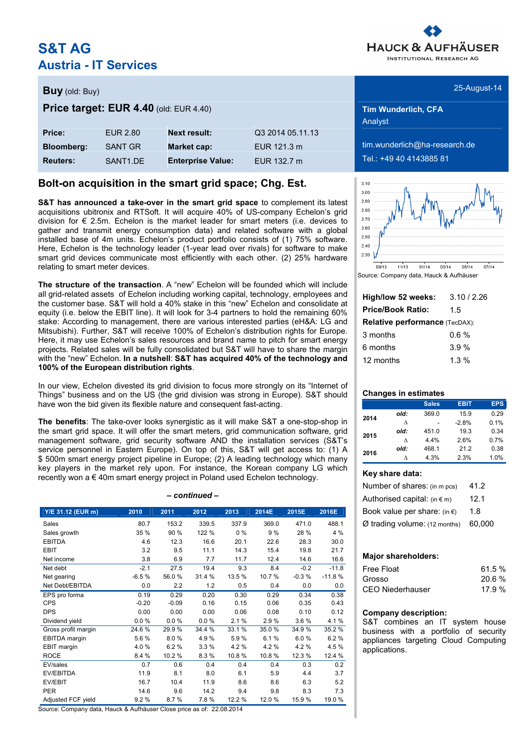# **S&T AG Austria - IT Services**



| <b>Buy</b> (old: Buy)    | 25-August-14 |
|--------------------------|--------------|
| <b>. .</b> .<br>-------- |              |

| <b>Price:</b>     | EUR 2.80              | <b>Next result:</b>      | Q3 2014 05.11.13 |
|-------------------|-----------------------|--------------------------|------------------|
| <b>Bloomberg:</b> | SANT GR               | Market cap:              | EUR 121.3 m      |
| <b>Reuters:</b>   | SANT <sub>1</sub> .DF | <b>Enterprise Value:</b> | FUR 132.7 m      |

### **Bolt-on acquisition in the smart grid space; Chg. Est.**

**S&T has announced a take-over in the smart grid space** to complement its latest acquisitions ubitronix and RTSoft. It will acquire 40% of US-company Echelon's grid division for  $\epsilon$  2.5m. Echelon is the market leader for smart meters (i.e. devices to gather and transmit energy consumption data) and related software with a global installed base of 4m units. Echelon's product portfolio consists of (1) 75% software. Here, Echelon is the technology leader (1-year lead over rivals) for software to make smart grid devices communicate most efficiently with each other. (2) 25% hardware relating to smart meter devices.

**The structure of the transaction**. A "new" Echelon will be founded which will include all grid-related assets of Echelon including working capital, technology, employees and the customer base. S&T will hold a 40% stake in this "new" Echelon and consolidate at equity (i.e. below the EBIT line). It will look for 3-4 partners to hold the remaining 60% stake: According to management, there are various interested parties (eH&A: LG and Mitsubishi). Further, S&T will receive 100% of Echelon's distribution rights for Europe. Here, it may use Echelon's sales resources and brand name to pitch for smart energy projects. Related sales will be fully consolidated but S&T will have to share the margin with the "new" Echelon. **In a nutshell**: **S&T has acquired 40% of the technology and 100% of the European distribution rights**.

In our view, Echelon divested its grid division to focus more strongly on its "Internet of Things" business and on the US (the grid division was strong in Europe). S&T should have won the bid given its flexible nature and consequent fast-acting.

**The benefits**: The take-over looks synergistic as it will make S&T a one-stop-shop in the smart grid space. It will offer the smart meters, grid communication software, grid management software, grid security software AND the installation services (S&T's service personnel in Eastern Europe). On top of this, S&T will get access to: (1) A \$ 500m smart energy project pipeline in Europe; (2) A leading technology which many key players in the market rely upon. For instance, the Korean company LG which recently won a € 40m smart energy project in Poland used Echelon technology.

#### *– continued –*

| Y/E 31.12 (EUR m)   | 2010    | 2011    | 2012   | 2013   | 2014E | 2015E   | 2016E    |
|---------------------|---------|---------|--------|--------|-------|---------|----------|
| Sales               | 80.7    | 153.2   | 339.5  | 337.9  | 369.0 | 471.0   | 488.1    |
| Sales growth        | 35 %    | 90 %    | 122 %  | $0\%$  | 9%    | 28 %    | 4 %      |
| <b>EBITDA</b>       | 4.6     | 12.3    | 16.6   | 20.1   | 22.6  | 28.3    | 30.0     |
| <b>EBIT</b>         | 3.2     | 9.5     | 11.1   | 14.3   | 15.4  | 19.8    | 21.7     |
| Net income          | 3.8     | 6.9     | 7.7    | 11.7   | 12.4  | 14.6    | 16.6     |
| Net debt            | $-2.1$  | 27.5    | 19.4   | 9.3    | 8.4   | $-0.2$  | $-11.8$  |
| Net gearing         | $-6.5%$ | 56.0%   | 31.4 % | 13.5%  | 10.7% | $-0.3%$ | $-11.8%$ |
| Net Debt/EBITDA     | 0.0     | 2.2     | 1.2    | 0.5    | 0.4   | 0.0     | 0.0      |
| EPS pro forma       | 0.19    | 0.29    | 0.20   | 0.30   | 0.29  | 0.34    | 0.38     |
| <b>CPS</b>          | $-0.20$ | $-0.09$ | 0.16   | 0.15   | 0.06  | 0.35    | 0.43     |
| <b>DPS</b>          | 0.00    | 0.00    | 0.00   | 0.06   | 0.08  | 0.10    | 0.12     |
| Dividend yield      | 0.0%    | 0.0%    | 0.0%   | 2.1%   | 2.9%  | 3.6%    | 4.1%     |
| Gross profit margin | 24.6%   | 29.9%   | 34.4 % | 33.1%  | 35.0% | 34.9%   | 35.2%    |
| EBITDA margin       | 5.6%    | 8.0%    | 4.9%   | 5.9%   | 6.1%  | 6.0%    | 6.2%     |
| EBIT margin         | 4.0%    | 6.2%    | 3.3%   | 4.2%   | 4.2%  | 4.2%    | 4.5 %    |
| <b>ROCE</b>         | 8.4 %   | 10.2%   | 8.3%   | 10.8%  | 10.8% | 12.3 %  | 12.4 %   |
| EV/sales            | 0.7     | 0.6     | 0.4    | 0.4    | 0.4   | 0.3     | 0.2      |
| EV/EBITDA           | 11.9    | 8.1     | 8.0    | 6.1    | 5.9   | 4.4     | 3.7      |
| EV/EBIT             | 16.7    | 10.4    | 11.9   | 8.6    | 8.6   | 6.3     | 5.2      |
| <b>PER</b>          | 14.6    | 9.6     | 14.2   | 9.4    | 9.8   | 8.3     | 7.3      |
| Adjusted FCF yield  | 9.2%    | 8.7%    | 7.8%   | 12.2 % | 12.0% | 15.9%   | 19.0 %   |

Source: Company data, Hauck & Aufhäuser Close price as of: 22.08.2014

**Price target: EUR 4.40** (old: EUR 4.40) **Tim Wunderlich, CFA** Analyst

> $t$ im.wunderlich@ha-research.de **Reuters:** SANT1.DE **Enterprise Value:** EUR 132.7 m Tel.: +49 40 4143885 81



Source: Company data, Hauck & Aufhäuser

| High/low 52 weeks:                    | 3.10/2.26 |  |  |  |  |  |
|---------------------------------------|-----------|--|--|--|--|--|
| <b>Price/Book Ratio:</b>              | 1.5       |  |  |  |  |  |
| <b>Relative performance (TecDAX):</b> |           |  |  |  |  |  |
| 3 months                              | 0.6 %     |  |  |  |  |  |
| 6 months                              | 3.9%      |  |  |  |  |  |
| 12 months                             | 1.3 $%$   |  |  |  |  |  |

#### **Changes in estimates**

|      |      | <b>Sales</b> | <b>EBIT</b> | <b>EPS</b> |
|------|------|--------------|-------------|------------|
| 2014 | old: | 369.0        | 15.9        | 0.29       |
|      | л    |              | $-2.8%$     | 0.1%       |
| 2015 | old: | 451.0        | 19.3        | 0.34       |
|      | л    | 4.4%         | 2.6%        | 0.7%       |
| 2016 | old: | 468.1        | 212         | 0.38       |
|      |      | 4.3%         | 2.3%        | 1.0%       |

#### **Key share data:**

| Number of shares: (in m pcs)           | 41.2   |
|----------------------------------------|--------|
| Authorised capital: $(in \in m)$       | 12.1   |
| Book value per share: (in $\epsilon$ ) | 1.8    |
| $Ø$ trading volume: (12 months)        | 60.000 |

#### **Major shareholders:**

| Free Float       | 61.5 %   |
|------------------|----------|
| Grosso           | $20.6\%$ |
| CEO Niederhauser | 17.9%    |

#### **Company description:**

S&T combines an IT system house business with a portfolio of security appliances targeting Cloud Computing applications.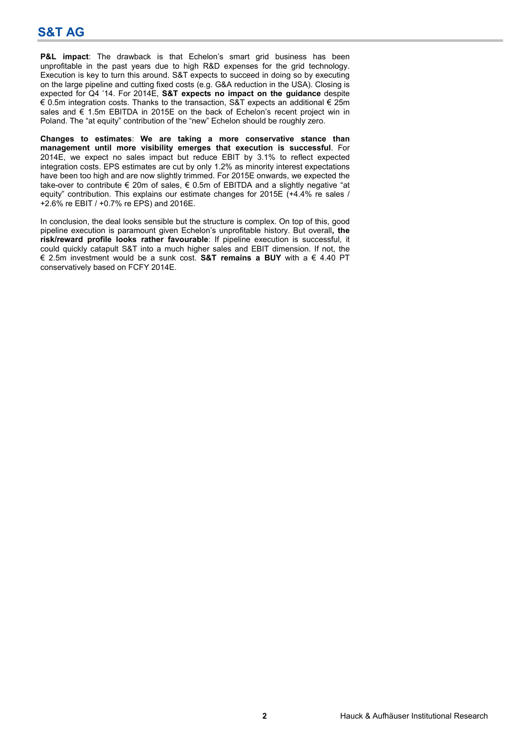**P&L impact**: The drawback is that Echelon's smart grid business has been unprofitable in the past years due to high R&D expenses for the grid technology. Execution is key to turn this around. S&T expects to succeed in doing so by executing on the large pipeline and cutting fixed costs (e.g. G&A reduction in the USA). Closing is expected for Q4 '14. For 2014E, **S&T expects no impact on the guidance** despite € 0.5m integration costs. Thanks to the transaction, S&T expects an additional € 25m sales and  $\epsilon$  1.5m EBITDA in 2015E on the back of Echelon's recent project win in Poland. The "at equity" contribution of the "new" Echelon should be roughly zero.

**Changes to estimates**: **We are taking a more conservative stance than management until more visibility emerges that execution is successful**. For 2014E, we expect no sales impact but reduce EBIT by 3.1% to reflect expected integration costs. EPS estimates are cut by only 1.2% as minority interest expectations have been too high and are now slightly trimmed. For 2015E onwards, we expected the take-over to contribute € 20m of sales, € 0.5m of EBITDA and a slightly negative "at equity" contribution. This explains our estimate changes for 2015E (+4.4% re sales / +2.6% re EBIT / +0.7% re EPS) and 2016E.

In conclusion, the deal looks sensible but the structure is complex. On top of this, good pipeline execution is paramount given Echelon's unprofitable history. But overall**, the risk/reward profile looks rather favourable**: If pipeline execution is successful, it could quickly catapult S&T into a much higher sales and EBIT dimension. If not, the € 2.5m investment would be a sunk cost. **S&T remains a BUY** with a € 4.40 PT conservatively based on FCFY 2014E.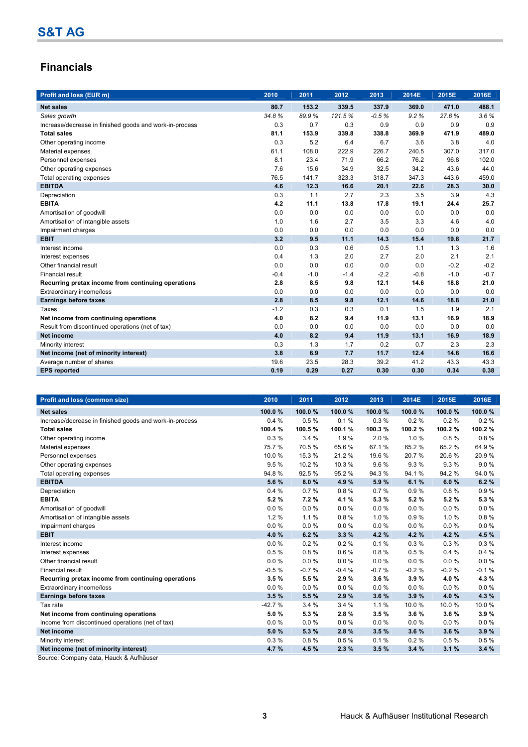## **Financials**

| Profit and loss (EUR m)                                 | 2010   | 2011   | 2012   | 2013    | 2014E  | 2015E  | 2016E  |
|---------------------------------------------------------|--------|--------|--------|---------|--------|--------|--------|
| <b>Net sales</b>                                        | 80.7   | 153.2  | 339.5  | 337.9   | 369.0  | 471.0  | 488.1  |
| Sales growth                                            | 34.8%  | 89.9%  | 121.5% | $-0.5%$ | 9.2%   | 27.6%  | 3.6%   |
| Increase/decrease in finished goods and work-in-process | 0.3    | 0.7    | 0.3    | 0.9     | 0.9    | 0.9    | 0.9    |
| <b>Total sales</b>                                      | 81.1   | 153.9  | 339.8  | 338.8   | 369.9  | 471.9  | 489.0  |
| Other operating income                                  | 0.3    | 5.2    | 6.4    | 6.7     | 3.6    | 3.8    | 4.0    |
| Material expenses                                       | 61.1   | 108.0  | 222.9  | 226.7   | 240.5  | 307.0  | 317.0  |
| Personnel expenses                                      | 8.1    | 23.4   | 71.9   | 66.2    | 76.2   | 96.8   | 102.0  |
| Other operating expenses                                | 7.6    | 15.6   | 34.9   | 32.5    | 34.2   | 43.6   | 44.0   |
| Total operating expenses                                | 76.5   | 141.7  | 323.3  | 318.7   | 347.3  | 443.6  | 459.0  |
| <b>EBITDA</b>                                           | 4.6    | 12.3   | 16.6   | 20.1    | 22.6   | 28.3   | 30.0   |
| Depreciation                                            | 0.3    | 1.1    | 2.7    | 2.3     | 3.5    | 3.9    | 4.3    |
| <b>EBITA</b>                                            | 4.2    | 11.1   | 13.8   | 17.8    | 19.1   | 24.4   | 25.7   |
| Amortisation of goodwill                                | 0.0    | 0.0    | 0.0    | 0.0     | 0.0    | 0.0    | 0.0    |
| Amortisation of intangible assets                       | 1.0    | 1.6    | 2.7    | 3.5     | 3.3    | 4.6    | 4.0    |
| Impairment charges                                      | 0.0    | 0.0    | 0.0    | 0.0     | 0.0    | 0.0    | 0.0    |
| <b>EBIT</b>                                             | 3.2    | 9.5    | 11.1   | 14.3    | 15.4   | 19.8   | 21.7   |
| Interest income                                         | 0.0    | 0.3    | 0.6    | 0.5     | 1.1    | 1.3    | 1.6    |
| Interest expenses                                       | 0.4    | 1.3    | 2.0    | 2.7     | 2.0    | 2.1    | 2.1    |
| Other financial result                                  | 0.0    | 0.0    | 0.0    | 0.0     | 0.0    | $-0.2$ | $-0.2$ |
| Financial result                                        | $-0.4$ | $-1.0$ | $-1.4$ | $-2.2$  | $-0.8$ | $-1.0$ | $-0.7$ |
| Recurring pretax income from continuing operations      | 2.8    | 8.5    | 9.8    | 12.1    | 14.6   | 18.8   | 21.0   |
| Extraordinary income/loss                               | 0.0    | 0.0    | 0.0    | 0.0     | 0.0    | 0.0    | 0.0    |
| <b>Earnings before taxes</b>                            | 2.8    | 8.5    | 9.8    | 12.1    | 14.6   | 18.8   | 21.0   |
| <b>Taxes</b>                                            | $-1.2$ | 0.3    | 0.3    | 0.1     | 1.5    | 1.9    | 2.1    |
| Net income from continuing operations                   | 4.0    | 8.2    | 9.4    | 11.9    | 13.1   | 16.9   | 18.9   |
| Result from discontinued operations (net of tax)        | 0.0    | 0.0    | 0.0    | 0.0     | 0.0    | 0.0    | 0.0    |
| <b>Net income</b>                                       | 4.0    | 8.2    | 9.4    | 11.9    | 13.1   | 16.9   | 18.9   |
| Minority interest                                       | 0.3    | 1.3    | 1.7    | 0.2     | 0.7    | 2.3    | 2.3    |
| Net income (net of minority interest)                   | 3.8    | 6.9    | 7.7    | 11.7    | 12.4   | 14.6   | 16.6   |
| Average number of shares                                | 19.6   | 23.5   | 28.3   | 39.2    | 41.2   | 43.3   | 43.3   |
| <b>EPS</b> reported                                     | 0.19   | 0.29   | 0.27   | 0.30    | 0.30   | 0.34   | 0.38   |

| Profit and loss (common size)                           | 2010     | 2011     | 2012     | 2013    | 2014E    | 2015E   | 2016E   |
|---------------------------------------------------------|----------|----------|----------|---------|----------|---------|---------|
| <b>Net sales</b>                                        | 100.0%   | 100.0%   | 100.0%   | 100.0%  | 100.0%   | 100.0%  | 100.0%  |
| Increase/decrease in finished goods and work-in-process | 0.4%     | 0.5%     | 0.1%     | 0.3%    | 0.2%     | 0.2%    | 0.2%    |
| <b>Total sales</b>                                      | 100.4 %  | 100.5%   | 100.1%   | 100.3%  | 100.2 %  | 100.2%  | 100.2%  |
| Other operating income                                  | 0.3%     | 3.4%     | 1.9%     | 2.0%    | 1.0%     | 0.8%    | 0.8%    |
| Material expenses                                       | 75.7 %   | 70.5%    | 65.6%    | 67.1 %  | 65.2%    | 65.2%   | 64.9%   |
| Personnel expenses                                      | 10.0%    | 15.3 %   | 21.2%    | 19.6%   | 20.7%    | 20.6%   | 20.9%   |
| Other operating expenses                                | 9.5%     | 10.2%    | 10.3%    | 9.6%    | 9.3%     | 9.3%    | 9.0%    |
| Total operating expenses                                | 94.8%    | 92.5%    | 95.2%    | 94.3%   | 94.1%    | 94.2%   | 94.0%   |
| <b>EBITDA</b>                                           | 5.6 %    | 8.0%     | 4.9%     | 5.9%    | 6.1%     | 6.0%    | 6.2%    |
| Depreciation                                            | 0.4%     | 0.7%     | 0.8%     | 0.7%    | 0.9%     | 0.8%    | 0.9%    |
| <b>EBITA</b>                                            | 5.2%     | 7.2%     | 4.1%     | 5.3%    | 5.2%     | 5.2%    | 5.3%    |
| Amortisation of goodwill                                | 0.0%     | $0.0 \%$ | 0.0%     | 0.0%    | $0.0 \%$ | 0.0%    | 0.0%    |
| Amortisation of intangible assets                       | 1.2%     | 1.1%     | 0.8%     | 1.0%    | 0.9%     | 1.0%    | 0.8%    |
| Impairment charges                                      | 0.0%     | $0.0 \%$ | 0.0%     | 0.0%    | $0.0 \%$ | 0.0%    | 0.0%    |
| <b>EBIT</b>                                             | 4.0%     | 6.2%     | 3.3%     | 4.2%    | 4.2%     | 4.2%    | 4.5 %   |
| Interest income                                         | 0.0%     | 0.2%     | 0.2%     | 0.1%    | 0.3%     | 0.3%    | 0.3%    |
| Interest expenses                                       | 0.5%     | 0.8%     | 0.6%     | 0.8%    | 0.5%     | 0.4%    | 0.4%    |
| Other financial result                                  | 0.0%     | $0.0 \%$ | 0.0%     | 0.0%    | $0.0 \%$ | 0.0%    | 0.0%    |
| <b>Financial result</b>                                 | $-0.5%$  | $-0.7%$  | $-0.4%$  | $-0.7%$ | $-0.2%$  | $-0.2%$ | $-0.1%$ |
| Recurring pretax income from continuing operations      | 3.5%     | 5.5%     | 2.9%     | 3.6%    | 3.9%     | 4.0%    | 4.3%    |
| Extraordinary income/loss                               | 0.0%     | $0.0 \%$ | $0.0 \%$ | 0.0%    | $0.0 \%$ | 0.0%    | 0.0%    |
| <b>Earnings before taxes</b>                            | 3.5%     | 5.5 %    | 2.9%     | 3.6%    | 3.9%     | 4.0%    | 4.3%    |
| Tax rate                                                | $-42.7%$ | 3.4%     | 3.4%     | 1.1%    | 10.0%    | 10.0%   | 10.0%   |
| Net income from continuing operations                   | 5.0%     | 5.3%     | 2.8%     | 3.5%    | 3.6%     | 3.6%    | 3.9%    |
| Income from discontinued operations (net of tax)        | 0.0%     | $0.0 \%$ | 0.0%     | 0.0%    | $0.0 \%$ | 0.0%    | 0.0%    |
| <b>Net income</b>                                       | 5.0%     | 5.3%     | 2.8%     | 3.5%    | 3.6%     | 3.6%    | 3.9%    |
| Minority interest                                       | 0.3%     | 0.8%     | 0.5%     | 0.1%    | 0.2%     | 0.5%    | 0.5%    |
| Net income (net of minority interest)                   | 4.7%     | 4.5 %    | 2.3%     | 3.5%    | 3.4%     | 3.1%    | 3.4%    |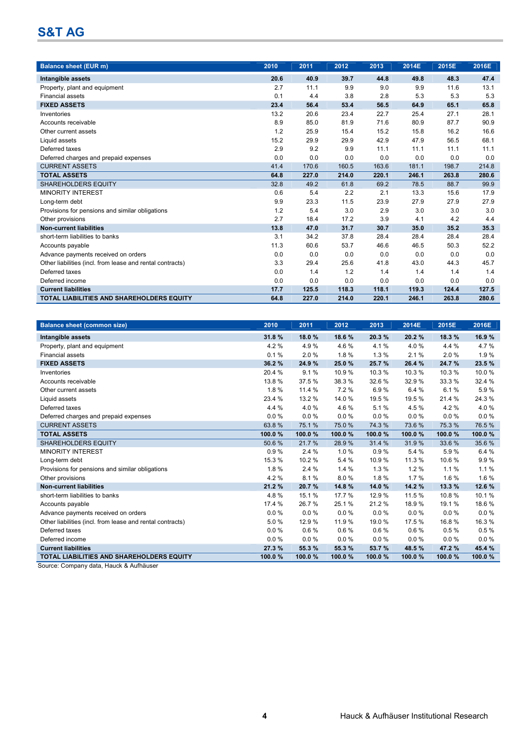| <b>Balance sheet (EUR m)</b>                              | 2010 | 2011  | 2012  | 2013  | 2014E | 2015E | 2016E |
|-----------------------------------------------------------|------|-------|-------|-------|-------|-------|-------|
| Intangible assets                                         | 20.6 | 40.9  | 39.7  | 44.8  | 49.8  | 48.3  | 47.4  |
| Property, plant and equipment                             | 2.7  | 11.1  | 9.9   | 9.0   | 9.9   | 11.6  | 13.1  |
| <b>Financial assets</b>                                   | 0.1  | 4.4   | 3.8   | 2.8   | 5.3   | 5.3   | 5.3   |
| <b>FIXED ASSETS</b>                                       | 23.4 | 56.4  | 53.4  | 56.5  | 64.9  | 65.1  | 65.8  |
| Inventories                                               | 13.2 | 20.6  | 23.4  | 22.7  | 25.4  | 27.1  | 28.1  |
| Accounts receivable                                       | 8.9  | 85.0  | 81.9  | 71.6  | 80.9  | 87.7  | 90.9  |
| Other current assets                                      | 1.2  | 25.9  | 15.4  | 15.2  | 15.8  | 16.2  | 16.6  |
| Liquid assets                                             | 15.2 | 29.9  | 29.9  | 42.9  | 47.9  | 56.5  | 68.1  |
| Deferred taxes                                            | 2.9  | 9.2   | 9.9   | 11.1  | 11.1  | 11.1  | 11.1  |
| Deferred charges and prepaid expenses                     | 0.0  | 0.0   | 0.0   | 0.0   | 0.0   | 0.0   | 0.0   |
| <b>CURRENT ASSETS</b>                                     | 41.4 | 170.6 | 160.5 | 163.6 | 181.1 | 198.7 | 214.8 |
| <b>TOTAL ASSETS</b>                                       | 64.8 | 227.0 | 214.0 | 220.1 | 246.1 | 263.8 | 280.6 |
| <b>SHAREHOLDERS EQUITY</b>                                | 32.8 | 49.2  | 61.8  | 69.2  | 78.5  | 88.7  | 99.9  |
| <b>MINORITY INTEREST</b>                                  | 0.6  | 5.4   | 2.2   | 2.1   | 13.3  | 15.6  | 17.9  |
| Long-term debt                                            | 9.9  | 23.3  | 11.5  | 23.9  | 27.9  | 27.9  | 27.9  |
| Provisions for pensions and similar obligations           | 1.2  | 5.4   | 3.0   | 2.9   | 3.0   | 3.0   | 3.0   |
| Other provisions                                          | 2.7  | 18.4  | 17.2  | 3.9   | 4.1   | 4.2   | 4.4   |
| <b>Non-current liabilities</b>                            | 13.8 | 47.0  | 31.7  | 30.7  | 35.0  | 35.2  | 35.3  |
| short-term liabilities to banks                           | 3.1  | 34.2  | 37.8  | 28.4  | 28.4  | 28.4  | 28.4  |
| Accounts payable                                          | 11.3 | 60.6  | 53.7  | 46.6  | 46.5  | 50.3  | 52.2  |
| Advance payments received on orders                       | 0.0  | 0.0   | 0.0   | 0.0   | 0.0   | 0.0   | 0.0   |
| Other liabilities (incl. from lease and rental contracts) | 3.3  | 29.4  | 25.6  | 41.8  | 43.0  | 44.3  | 45.7  |
| Deferred taxes                                            | 0.0  | 1.4   | 1.2   | 1.4   | 1.4   | 1.4   | 1.4   |
| Deferred income                                           | 0.0  | 0.0   | 0.0   | 0.0   | 0.0   | 0.0   | 0.0   |
| <b>Current liabilities</b>                                | 17.7 | 125.5 | 118.3 | 118.1 | 119.3 | 124.4 | 127.5 |
| <b>TOTAL LIABILITIES AND SHAREHOLDERS EQUITY</b>          | 64.8 | 227.0 | 214.0 | 220.1 | 246.1 | 263.8 | 280.6 |

| <b>Balance sheet (common size)</b>                        | 2010   | 2011    | 2012   | 2013   | 2014E  | 2015E  | 2016E  |
|-----------------------------------------------------------|--------|---------|--------|--------|--------|--------|--------|
| Intangible assets                                         | 31.8%  | 18.0%   | 18.6%  | 20.3%  | 20.2%  | 18.3%  | 16.9%  |
| Property, plant and equipment                             | 4.2%   | 4.9%    | 4.6%   | 4.1%   | 4.0%   | 4.4 %  | 4.7%   |
| <b>Financial assets</b>                                   | 0.1%   | 2.0%    | 1.8%   | 1.3%   | 2.1%   | 2.0%   | 1.9%   |
| <b>FIXED ASSETS</b>                                       | 36.2%  | 24.9%   | 25.0%  | 25.7%  | 26.4 % | 24.7%  | 23.5%  |
| Inventories                                               | 20.4 % | 9.1%    | 10.9%  | 10.3%  | 10.3%  | 10.3%  | 10.0%  |
| Accounts receivable                                       | 13.8%  | 37.5%   | 38.3 % | 32.6%  | 32.9%  | 33.3 % | 32.4 % |
| Other current assets                                      | 1.8%   | 11.4 %  | 7.2%   | 6.9%   | 6.4 %  | 6.1%   | 5.9%   |
| Liquid assets                                             | 23.4 % | 13.2 %  | 14.0 % | 19.5 % | 19.5%  | 21.4 % | 24.3%  |
| Deferred taxes                                            | 4.4%   | 4.0%    | 4.6%   | 5.1%   | 4.5 %  | 4.2%   | 4.0%   |
| Deferred charges and prepaid expenses                     | 0.0%   | 0.0%    | 0.0%   | 0.0%   | 0.0%   | 0.0%   | 0.0%   |
| <b>CURRENT ASSETS</b>                                     | 63.8%  | 75.1%   | 75.0%  | 74.3%  | 73.6%  | 75.3 % | 76.5%  |
| <b>TOTAL ASSETS</b>                                       | 100.0% | 100.0%  | 100.0% | 100.0% | 100.0% | 100.0% | 100.0% |
| <b>SHAREHOLDERS EQUITY</b>                                | 50.6%  | 21.7%   | 28.9%  | 31.4 % | 31.9%  | 33.6 % | 35.6 % |
| <b>MINORITY INTEREST</b>                                  | 0.9%   | 2.4%    | 1.0%   | 0.9%   | 5.4 %  | 5.9%   | 6.4%   |
| Long-term debt                                            | 15.3 % | 10.2%   | 5.4 %  | 10.9%  | 11.3 % | 10.6%  | 9.9%   |
| Provisions for pensions and similar obligations           | 1.8%   | 2.4%    | 1.4%   | 1.3%   | 1.2%   | 1.1%   | 1.1%   |
| Other provisions                                          | 4.2%   | 8.1%    | 8.0%   | 1.8%   | 1.7%   | 1.6%   | 1.6%   |
| <b>Non-current liabilities</b>                            | 21.2%  | 20.7%   | 14.8%  | 14.0%  | 14.2 % | 13.3 % | 12.6 % |
| short-term liabilities to banks                           | 4.8%   | 15.1%   | 17.7 % | 12.9%  | 11.5 % | 10.8%  | 10.1%  |
| Accounts payable                                          | 17.4 % | 26.7%   | 25.1%  | 21.2%  | 18.9%  | 19.1%  | 18.6%  |
| Advance payments received on orders                       | 0.0%   | 0.0%    | 0.0%   | 0.0%   | 0.0%   | 0.0%   | 0.0%   |
| Other liabilities (incl. from lease and rental contracts) | 5.0%   | 12.9 %  | 11.9%  | 19.0 % | 17.5%  | 16.8%  | 16.3%  |
| Deferred taxes                                            | 0.0%   | 0.6%    | 0.6%   | 0.6%   | 0.6%   | 0.5%   | 0.5%   |
| Deferred income                                           | 0.0%   | $0.0\%$ | 0.0%   | 0.0%   | 0.0%   | 0.0%   | 0.0%   |
| <b>Current liabilities</b>                                | 27.3 % | 55.3 %  | 55.3 % | 53.7%  | 48.5%  | 47.2%  | 45.4 % |
| <b>TOTAL LIABILITIES AND SHAREHOLDERS EQUITY</b>          | 100.0% | 100.0%  | 100.0% | 100.0% | 100.0% | 100.0% | 100.0% |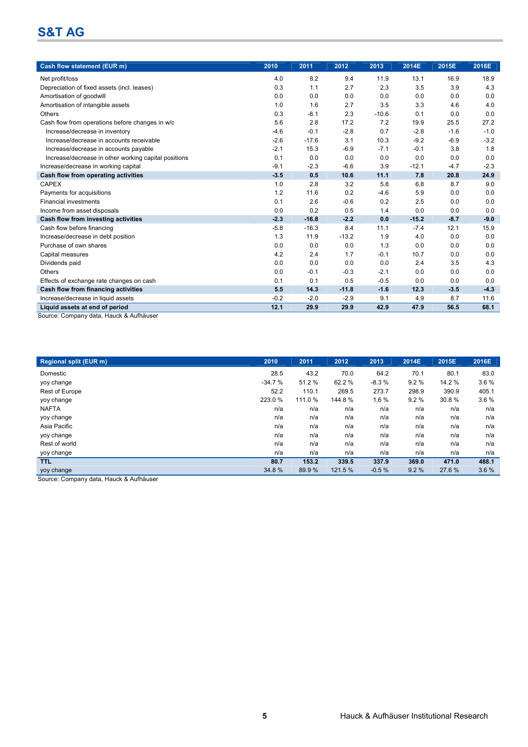| Cash flow statement (EUR m)                                               | 2010   | 2011    | 2012    | 2013    | 2014E   | 2015E  | 2016E  |
|---------------------------------------------------------------------------|--------|---------|---------|---------|---------|--------|--------|
| Net profit/loss                                                           | 4.0    | 8.2     | 9.4     | 11.9    | 13.1    | 16.9   | 18.9   |
| Depreciation of fixed assets (incl. leases)                               | 0.3    | 1.1     | 2.7     | 2.3     | 3.5     | 3.9    | 4.3    |
| Amortisation of goodwill                                                  | 0.0    | 0.0     | 0.0     | 0.0     | 0.0     | 0.0    | 0.0    |
| Amortisation of intangible assets                                         | 1.0    | 1.6     | 2.7     | 3.5     | 3.3     | 4.6    | 4.0    |
| Others                                                                    | 0.3    | $-8.1$  | 2.3     | $-10.6$ | 0.1     | 0.0    | 0.0    |
| Cash flow from operations before changes in w/c                           | 5.6    | 2.8     | 17.2    | 7.2     | 19.9    | 25.5   | 27.2   |
| Increase/decrease in inventory                                            | $-4.6$ | $-0.1$  | $-2.8$  | 0.7     | $-2.8$  | $-1.6$ | $-1.0$ |
| Increase/decrease in accounts receivable                                  | $-2.6$ | $-17.6$ | 3.1     | 10.3    | $-9.2$  | $-6.9$ | $-3.2$ |
| Increase/decrease in accounts payable                                     | $-2.1$ | 15.3    | $-6.9$  | $-7.1$  | $-0.1$  | 3.8    | 1.8    |
| Increase/decrease in other working capital positions                      | 0.1    | 0.0     | 0.0     | 0.0     | 0.0     | 0.0    | 0.0    |
| Increase/decrease in working capital                                      | $-9.1$ | $-2.3$  | $-6.6$  | 3.9     | $-12.1$ | $-4.7$ | $-2.3$ |
| Cash flow from operating activities                                       | $-3.5$ | 0.5     | 10.6    | 11.1    | 7.8     | 20.8   | 24.9   |
| <b>CAPEX</b>                                                              | 1.0    | 2.8     | 3.2     | 5.8     | 6.8     | 8.7    | 9.0    |
| Payments for acquisitions                                                 | 1.2    | 11.6    | 0.2     | $-4.6$  | 5.9     | 0.0    | 0.0    |
| <b>Financial investments</b>                                              | 0.1    | 2.6     | $-0.6$  | 0.2     | 2.5     | 0.0    | 0.0    |
| Income from asset disposals                                               | 0.0    | 0.2     | 0.5     | 1.4     | 0.0     | 0.0    | 0.0    |
| Cash flow from investing activities                                       | $-2.3$ | $-16.8$ | $-2.2$  | 0.0     | $-15.2$ | $-8.7$ | $-9.0$ |
| Cash flow before financing                                                | $-5.8$ | $-16.3$ | 8.4     | 11.1    | $-7.4$  | 12.1   | 15.9   |
| Increase/decrease in debt position                                        | 1.3    | 11.9    | $-13.2$ | 1.9     | 4.0     | 0.0    | 0.0    |
| Purchase of own shares                                                    | 0.0    | 0.0     | 0.0     | 1.3     | 0.0     | 0.0    | 0.0    |
| Capital measures                                                          | 4.2    | 2.4     | 1.7     | $-0.1$  | 10.7    | 0.0    | 0.0    |
| Dividends paid                                                            | 0.0    | 0.0     | 0.0     | 0.0     | 2.4     | 3.5    | 4.3    |
| Others                                                                    | 0.0    | $-0.1$  | $-0.3$  | $-2.1$  | 0.0     | 0.0    | 0.0    |
| Effects of exchange rate changes on cash                                  | 0.1    | 0.1     | 0.5     | $-0.5$  | 0.0     | 0.0    | 0.0    |
| Cash flow from financing activities                                       | 5.5    | 14.3    | $-11.8$ | $-1.6$  | 12.3    | $-3.5$ | $-4.3$ |
| Increase/decrease in liquid assets                                        | $-0.2$ | $-2.0$  | $-2.9$  | 9.1     | 4.9     | 8.7    | 11.6   |
| Liquid assets at end of period<br>Course: Company data Houal, 8 Aufhäuser | 12.1   | 29.9    | 29.9    | 42.9    | 47.9    | 56.5   | 68.1   |

Source: Company data, Hauck & Aufhäuser

| 2010     | 2011    | 2012    | 2013    | 2014E | 2015E  | 2016E |
|----------|---------|---------|---------|-------|--------|-------|
| 28.5     | 43.2    | 70.0    | 64.2    | 70.1  | 80.1   | 83.0  |
| $-34.7%$ | 51.2 %  | 62.2%   | $-8.3%$ | 9.2%  | 14.2 % | 3.6%  |
| 52.2     | 110.1   | 269.5   | 273.7   | 298.9 | 390.9  | 405.1 |
| 223.0 %  | 111.0 % | 144.8%  | 1.6%    | 9.2%  | 30.8%  | 3.6%  |
| n/a      | n/a     | n/a     | n/a     | n/a   | n/a    | n/a   |
| n/a      | n/a     | n/a     | n/a     | n/a   | n/a    | n/a   |
| n/a      | n/a     | n/a     | n/a     | n/a   | n/a    | n/a   |
| n/a      | n/a     | n/a     | n/a     | n/a   | n/a    | n/a   |
| n/a      | n/a     | n/a     | n/a     | n/a   | n/a    | n/a   |
| n/a      | n/a     | n/a     | n/a     | n/a   | n/a    | n/a   |
| 80.7     | 153.2   | 339.5   | 337.9   | 369.0 | 471.0  | 488.1 |
| 34.8%    | 89.9 %  | 121.5 % | $-0.5%$ | 9.2%  | 27.6%  | 3.6%  |
|          |         |         |         |       |        |       |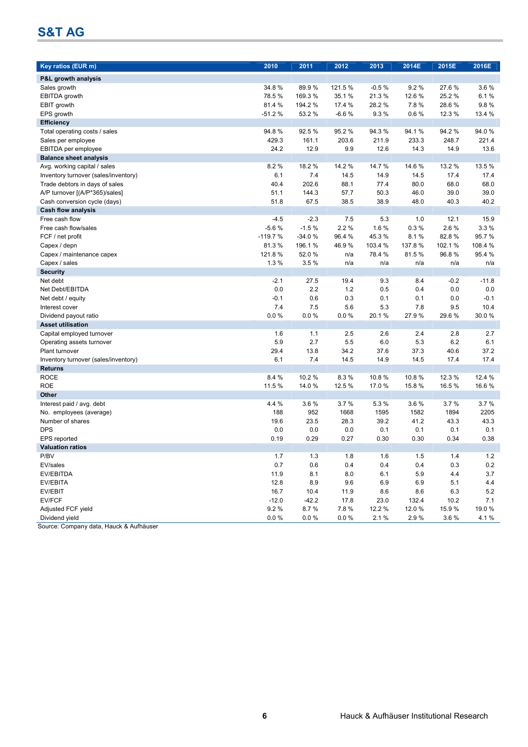| Key ratios (EUR m)                   | 2010      | 2011     | 2012     | 2013    | 2014E  | 2015E   | 2016E   |
|--------------------------------------|-----------|----------|----------|---------|--------|---------|---------|
|                                      |           |          |          |         |        |         |         |
| <b>P&amp;L growth analysis</b>       |           |          |          |         |        |         |         |
| Sales growth                         | 34.8%     | 89.9%    | 121.5%   | $-0.5%$ | 9.2%   | 27.6%   | 3.6%    |
| EBITDA growth                        | 78.5%     | 169.3 %  | 35.1 %   | 21.3%   | 12.6 % | 25.2 %  | 6.1%    |
| EBIT growth                          | 81.4 %    | 194.2 %  | 17.4 %   | 28.2%   | 7.8%   | 28.6%   | 9.8%    |
| EPS growth                           | $-51.2%$  | 53.2%    | $-6.6%$  | 9.3%    | 0.6%   | 12.3 %  | 13.4 %  |
| <b>Efficiency</b>                    |           |          |          |         |        |         |         |
| Total operating costs / sales        | 94.8%     | 92.5%    | 95.2%    | 94.3%   | 94.1%  | 94.2%   | 94.0%   |
| Sales per employee                   | 429.3     | 161.1    | 203.6    | 211.9   | 233.3  | 248.7   | 221.4   |
| <b>EBITDA</b> per employee           | 24.2      | 12.9     | 9.9      | 12.6    | 14.3   | 14.9    | 13.6    |
| <b>Balance sheet analysis</b>        |           |          |          |         |        |         |         |
| Avg. working capital / sales         | 8.2%      | 18.2 %   | 14.2 %   | 14.7 %  | 14.6 % | 13.2 %  | 13.5 %  |
| Inventory turnover (sales/inventory) | 6.1       | 7.4      | 14.5     | 14.9    | 14.5   | 17.4    | 17.4    |
| Trade debtors in days of sales       | 40.4      | 202.6    | 88.1     | 77.4    | 80.0   | 68.0    | 68.0    |
| A/P turnover [(A/P*365)/sales]       | 51.1      | 144.3    | 57.7     | 50.3    | 46.0   | 39.0    | 39.0    |
| Cash conversion cycle (days)         | 51.8      | 67.5     | 38.5     | 38.9    | 48.0   | 40.3    | 40.2    |
| <b>Cash flow analysis</b>            |           |          |          |         |        |         |         |
| Free cash flow                       | $-4.5$    | $-2.3$   | 7.5      | 5.3     | 1.0    | 12.1    | 15.9    |
| Free cash flow/sales                 | $-5.6%$   | $-1.5%$  | 2.2%     | 1.6%    | 0.3%   | 2.6%    | 3.3%    |
| FCF / net profit                     | $-119.7%$ | $-34.0%$ | 96.4 %   | 45.3%   | 8.1%   | 82.8%   | 95.7%   |
| Capex / depn                         | 81.3%     | 196.1%   | 46.9%    | 103.4 % | 137.8% | 102.1 % | 108.4 % |
| Capex / maintenance capex            | 121.8%    | 52.0%    | n/a      | 78.4 %  | 81.5%  | 96.8%   | 95.4 %  |
| Capex / sales                        | 1.3%      | 3.5%     | n/a      | n/a     | n/a    | n/a     | n/a     |
| <b>Security</b>                      |           |          |          |         |        |         |         |
| Net debt                             | $-2.1$    | 27.5     | 19.4     | 9.3     | 8.4    | $-0.2$  | $-11.8$ |
| Net Debt/EBITDA                      | 0.0       | 2.2      | 1.2      | 0.5     | 0.4    | 0.0     | 0.0     |
| Net debt / equity                    | $-0.1$    | 0.6      | 0.3      | 0.1     | 0.1    | 0.0     | $-0.1$  |
| Interest cover                       | 7.4       | 7.5      | 5.6      | 5.3     | 7.8    | 9.5     | 10.4    |
| Dividend payout ratio                | 0.0%      | 0.0%     | 0.0%     | 20.1%   | 27.9%  | 29.6 %  | 30.0%   |
| <b>Asset utilisation</b>             |           |          |          |         |        |         |         |
| Capital employed turnover            | 1.6       | 1.1      | 2.5      | 2.6     | 2.4    | 2.8     | 2.7     |
| Operating assets turnover            | 5.9       | 2.7      | 5.5      | 6.0     | 5.3    | 6.2     | 6.1     |
| Plant turnover                       | 29.4      | 13.8     | 34.2     | 37.6    | 37.3   | 40.6    | 37.2    |
| Inventory turnover (sales/inventory) | 6.1       | 7.4      | 14.5     | 14.9    | 14.5   | 17.4    | 17.4    |
| <b>Returns</b>                       |           |          |          |         |        |         |         |
| <b>ROCE</b>                          | 8.4 %     | 10.2%    | 8.3%     | 10.8%   | 10.8%  | 12.3 %  | 12.4 %  |
| <b>ROE</b>                           | 11.5 %    | 14.0%    | 12.5 %   | 17.0%   | 15.8%  | 16.5 %  | 16.6%   |
| Other                                |           |          |          |         |        |         |         |
| Interest paid / avg. debt            | 4.4 %     | 3.6%     | 3.7%     | 5.3 %   | 3.6%   | 3.7%    | 3.7%    |
| No. employees (average)              | 188       | 952      | 1668     | 1595    | 1582   | 1894    | 2205    |
| Number of shares                     | 19.6      | 23.5     | 28.3     | 39.2    | 41.2   | 43.3    | 43.3    |
| <b>DPS</b>                           | 0.0       | 0.0      | 0.0      | 0.1     | 0.1    | 0.1     | 0.1     |
| EPS reported                         | 0.19      | 0.29     | 0.27     | 0.30    | 0.30   | 0.34    | 0.38    |
| <b>Valuation ratios</b>              |           |          |          |         |        |         |         |
| P/BV                                 | $1.7$     | $1.3$    | 1.8      | 1.6     | $1.5$  | 1.4     | 1.2     |
| EV/sales                             | 0.7       | 0.6      | 0.4      | 0.4     | 0.4    | 0.3     | 0.2     |
| EV/EBITDA                            | 11.9      | 8.1      | 8.0      | 6.1     | 5.9    | 4.4     | 3.7     |
| EV/EBITA                             | 12.8      | 8.9      | 9.6      | 6.9     | 6.9    | 5.1     | 4.4     |
| EV/EBIT                              | 16.7      | 10.4     | 11.9     | 8.6     | 8.6    | 6.3     | $5.2\,$ |
| EV/FCF                               | $-12.0$   | $-42.2$  | 17.8     | 23.0    | 132.4  | 10.2    | 7.1     |
| Adjusted FCF yield                   | 9.2%      | 8.7%     | 7.8%     | 12.2 %  | 12.0%  | 15.9%   | 19.0%   |
| Dividend yield                       | 0.0 %     | 0.0 %    | $0.0 \%$ | 2.1%    | 2.9%   | 3.6%    | 4.1%    |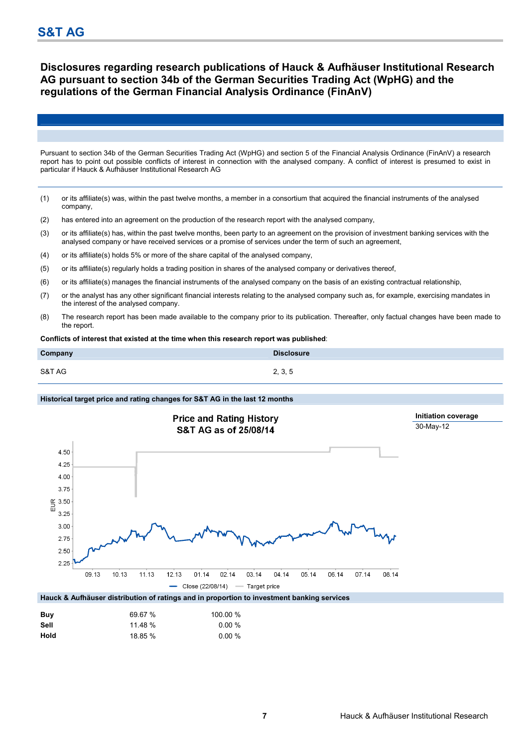### **Disclosures regarding research publications of Hauck & Aufhäuser Institutional Research AG pursuant to section 34b of the German Securities Trading Act (WpHG) and the regulations of the German Financial Analysis Ordinance (FinAnV)**

Pursuant to section 34b of the German Securities Trading Act (WpHG) and section 5 of the Financial Analysis Ordinance (FinAnV) a research report has to point out possible conflicts of interest in connection with the analysed company. A conflict of interest is presumed to exist in particular if Hauck & Aufhäuser Institutional Research AG

- (1) or its affiliate(s) was, within the past twelve months, a member in a consortium that acquired the financial instruments of the analysed company,
- (2) has entered into an agreement on the production of the research report with the analysed company,
- (3) or its affiliate(s) has, within the past twelve months, been party to an agreement on the provision of investment banking services with the analysed company or have received services or a promise of services under the term of such an agreement,
- (4) or its affiliate(s) holds 5% or more of the share capital of the analysed company,
- (5) or its affiliate(s) regularly holds a trading position in shares of the analysed company or derivatives thereof,
- (6) or its affiliate(s) manages the financial instruments of the analysed company on the basis of an existing contractual relationship,
- (7) or the analyst has any other significant financial interests relating to the analysed company such as, for example, exercising mandates in the interest of the analysed company.
- (8) The research report has been made available to the company prior to its publication. Thereafter, only factual changes have been made to the report.

**Conflicts of interest that existed at the time when this research report was published**:

| Company | <b>Disclosure</b> |
|---------|-------------------|
| S&T AG  | 2, 3, 5           |

#### **Historical target price and rating changes for S&T AG in the last 12 months**



| Buv  | 69.67 % | 100.00 %  |
|------|---------|-----------|
| Sell | 11.48%  | $0.00 \%$ |
| Hold | 18.85 % | $0.00 \%$ |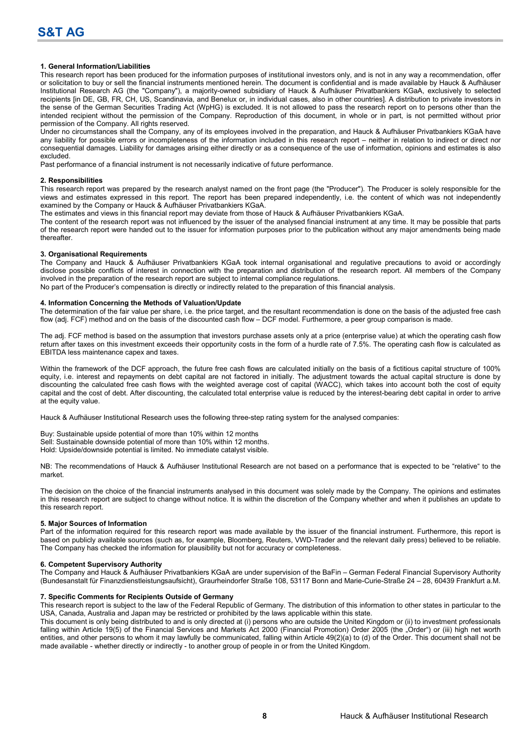#### **1. General Information/Liabilities**

This research report has been produced for the information purposes of institutional investors only, and is not in any way a recommendation, offer or solicitation to buy or sell the financial instruments mentioned herein. The document is confidential and is made available by Hauck & Aufhäuser Institutional Research AG (the "Company"), a majority-owned subsidiary of Hauck & Aufhäuser Privatbankiers KGaA, exclusively to selected recipients [in DE, GB, FR, CH, US, Scandinavia, and Benelux or, in individual cases, also in other countries]. A distribution to private investors in the sense of the German Securities Trading Act (WpHG) is excluded. It is not allowed to pass the research report on to persons other than the intended recipient without the permission of the Company. Reproduction of this document, in whole or in part, is not permitted without prior permission of the Company. All rights reserved.

Under no circumstances shall the Company, any of its employees involved in the preparation, and Hauck & Aufhäuser Privatbankiers KGaA have any liability for possible errors or incompleteness of the information included in this research report – neither in relation to indirect or direct nor consequential damages. Liability for damages arising either directly or as a consequence of the use of information, opinions and estimates is also excluded.

Past performance of a financial instrument is not necessarily indicative of future performance.

#### **2. Responsibilities**

This research report was prepared by the research analyst named on the front page (the "Producer"). The Producer is solely responsible for the views and estimates expressed in this report. The report has been prepared independently, i.e. the content of which was not independently examined by the Company or Hauck & Aufhäuser Privatbankiers KGaA.

The estimates and views in this financial report may deviate from those of Hauck & Aufhäuser Privatbankiers KGaA.

The content of the research report was not influenced by the issuer of the analysed financial instrument at any time. It may be possible that parts of the research report were handed out to the issuer for information purposes prior to the publication without any major amendments being made thereafter.

#### **3. Organisational Requirements**

The Company and Hauck & Aufhäuser Privatbankiers KGaA took internal organisational and regulative precautions to avoid or accordingly disclose possible conflicts of interest in connection with the preparation and distribution of the research report. All members of the Company involved in the preparation of the research report are subject to internal compliance regulations.

No part of the Producer's compensation is directly or indirectly related to the preparation of this financial analysis.

#### **4. Information Concerning the Methods of Valuation/Update**

The determination of the fair value per share, i.e. the price target, and the resultant recommendation is done on the basis of the adjusted free cash flow (adj. FCF) method and on the basis of the discounted cash flow – DCF model. Furthermore, a peer group comparison is made.

The adj. FCF method is based on the assumption that investors purchase assets only at a price (enterprise value) at which the operating cash flow return after taxes on this investment exceeds their opportunity costs in the form of a hurdle rate of 7.5%. The operating cash flow is calculated as EBITDA less maintenance capex and taxes.

Within the framework of the DCF approach, the future free cash flows are calculated initially on the basis of a fictitious capital structure of 100% equity, i.e. interest and repayments on debt capital are not factored in initially. The adjustment towards the actual capital structure is done by discounting the calculated free cash flows with the weighted average cost of capital (WACC), which takes into account both the cost of equity capital and the cost of debt. After discounting, the calculated total enterprise value is reduced by the interest-bearing debt capital in order to arrive at the equity value.

Hauck & Aufhäuser Institutional Research uses the following three-step rating system for the analysed companies:

Buy: Sustainable upside potential of more than 10% within 12 months Sell: Sustainable downside potential of more than 10% within 12 months. Hold: Upside/downside potential is limited. No immediate catalyst visible.

NB: The recommendations of Hauck & Aufhäuser Institutional Research are not based on a performance that is expected to be "relative" to the market.

The decision on the choice of the financial instruments analysed in this document was solely made by the Company. The opinions and estimates in this research report are subject to change without notice. It is within the discretion of the Company whether and when it publishes an update to this research report.

#### **5. Major Sources of Information**

Part of the information required for this research report was made available by the issuer of the financial instrument. Furthermore, this report is based on publicly available sources (such as, for example, Bloomberg, Reuters, VWD-Trader and the relevant daily press) believed to be reliable. The Company has checked the information for plausibility but not for accuracy or completeness.

#### **6. Competent Supervisory Authority**

The Company and Hauck & Aufhäuser Privatbankiers KGaA are under supervision of the BaFin – German Federal Financial Supervisory Authority (Bundesanstalt für Finanzdienstleistungsaufsicht), Graurheindorfer Straße 108, 53117 Bonn and Marie-Curie-Straße 24 – 28, 60439 Frankfurt a.M.

#### **7. Specific Comments for Recipients Outside of Germany**

This research report is subject to the law of the Federal Republic of Germany. The distribution of this information to other states in particular to the USA, Canada, Australia and Japan may be restricted or prohibited by the laws applicable within this state.

This document is only being distributed to and is only directed at (i) persons who are outside the United Kingdom or (ii) to investment professionals falling within Article 19(5) of the Financial Services and Markets Act 2000 (Financial Promotion) Order 2005 (the "Order") or (iii) high net worth entities, and other persons to whom it may lawfully be communicated, falling within Article 49(2)(a) to (d) of the Order. This document shall not be made available - whether directly or indirectly - to another group of people in or from the United Kingdom.